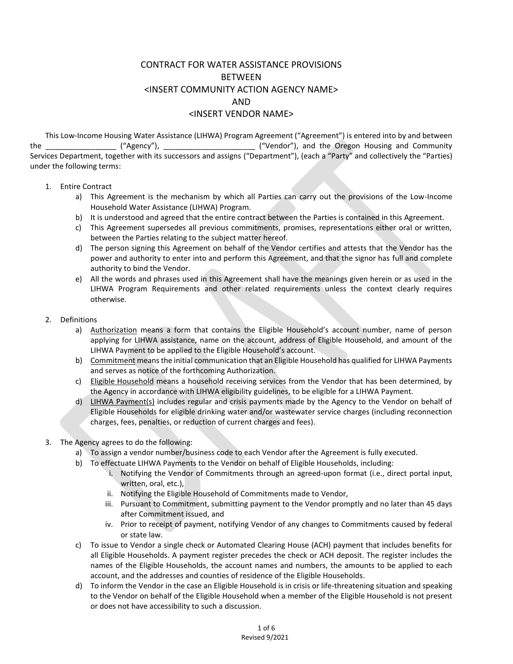## CONTRACT FOR WATER ASSISTANCE PROVISIONS BETWEEN <INSERT COMMUNITY ACTION AGENCY NAME> AND <INSERT VENDOR NAME>

This Low-Income Housing Water Assistance (LIHWA) Program Agreement ("Agreement") is entered into by and between the the the the the the state ("Agency"), the the the oregon Housing and Community Services Department, together with its successors and assigns ("Department"), (each a "Party" and collectively the "Parties) under the following terms:

- 1. Entire Contract
	- a) This Agreement is the mechanism by which all Parties can carry out the provisions of the Low-Income Household Water Assistance (LIHWA) Program.
	- b) It is understood and agreed that the entire contract between the Parties is contained in this Agreement.
	- c) This Agreement supersedes all previous commitments, promises, representations either oral or written, between the Parties relating to the subject matter hereof.
	- d) The person signing this Agreement on behalf of the Vendor certifies and attests that the Vendor has the power and authority to enter into and perform this Agreement, and that the signor has full and complete authority to bind the Vendor.
	- e) All the words and phrases used in this Agreement shall have the meanings given herein or as used in the LIHWA Program Requirements and other related requirements unless the context clearly requires otherwise.
- 2. Definitions
	- a) Authorization means a form that contains the Eligible Household's account number, name of person applying for LIHWA assistance, name on the account, address of Eligible Household, and amount of the LIHWA Payment to be applied to the Eligible Household's account.
	- b) Commitment means the initial communication that an Eligible Household has qualified for LIHWA Payments and serves as notice of the forthcoming Authorization.
	- c) Eligible Household means a household receiving services from the Vendor that has been determined, by the Agency in accordance with LIHWA eligibility guidelines, to be eligible for a LIHWA Payment.
	- d) LIHWA Payment(s) includes regular and crisis payments made by the Agency to the Vendor on behalf of Eligible Households for eligible drinking water and/or wastewater service charges (including reconnection charges, fees, penalties, or reduction of current charges and fees).
- 3. The Agency agrees to do the following:
	- a) To assign a vendor number/business code to each Vendor after the Agreement is fully executed.
	- b) To effectuate LIHWA Payments to the Vendor on behalf of Eligible Households, including:
		- i. Notifying the Vendor of Commitments through an agreed-upon format (i.e., direct portal input, written, oral, etc.),
		- ii. Notifying the Eligible Household of Commitments made to Vendor,
		- iii. Pursuant to Commitment, submitting payment to the Vendor promptly and no later than 45 days after Commitment issued, and
		- iv. Prior to receipt of payment, notifying Vendor of any changes to Commitments caused by federal or state law.
	- c) To issue to Vendor a single check or Automated Clearing House (ACH) payment that includes benefits for all Eligible Households. A payment register precedes the check or ACH deposit. The register includes the names of the Eligible Households, the account names and numbers, the amounts to be applied to each account, and the addresses and counties of residence of the Eligible Households.
	- d) To inform the Vendor in the case an Eligible Household is in crisis or life-threatening situation and speaking to the Vendor on behalf of the Eligible Household when a member of the Eligible Household is not present or does not have accessibility to such a discussion.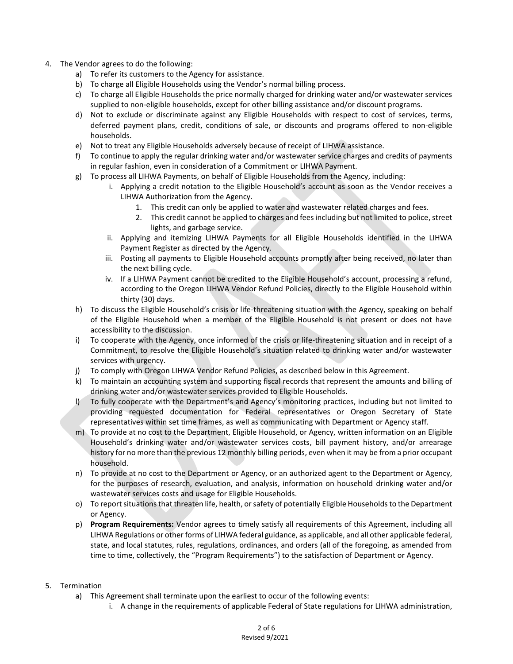- 4. The Vendor agrees to do the following:
	- a) To refer its customers to the Agency for assistance.
	- b) To charge all Eligible Households using the Vendor's normal billing process.
	- c) To charge all Eligible Households the price normally charged for drinking water and/or wastewater services supplied to non-eligible households, except for other billing assistance and/or discount programs.
	- d) Not to exclude or discriminate against any Eligible Households with respect to cost of services, terms, deferred payment plans, credit, conditions of sale, or discounts and programs offered to non-eligible households.
	- e) Not to treat any Eligible Households adversely because of receipt of LIHWA assistance.
	- f) To continue to apply the regular drinking water and/or wastewater service charges and credits of payments in regular fashion, even in consideration of a Commitment or LIHWA Payment.
	- g) To process all LIHWA Payments, on behalf of Eligible Households from the Agency, including:
		- i. Applying a credit notation to the Eligible Household's account as soon as the Vendor receives a LIHWA Authorization from the Agency.
			- 1. This credit can only be applied to water and wastewater related charges and fees.
			- 2. This credit cannot be applied to charges and fees including but not limited to police, street lights, and garbage service.
		- ii. Applying and itemizing LIHWA Payments for all Eligible Households identified in the LIHWA Payment Register as directed by the Agency.
		- iii. Posting all payments to Eligible Household accounts promptly after being received, no later than the next billing cycle.
		- iv. If a LIHWA Payment cannot be credited to the Eligible Household's account, processing a refund, according to the Oregon LIHWA Vendor Refund Policies, directly to the Eligible Household within thirty (30) days.
	- h) To discuss the Eligible Household's crisis or life-threatening situation with the Agency, speaking on behalf of the Eligible Household when a member of the Eligible Household is not present or does not have accessibility to the discussion.
	- i) To cooperate with the Agency, once informed of the crisis or life-threatening situation and in receipt of a Commitment, to resolve the Eligible Household's situation related to drinking water and/or wastewater services with urgency.
	- j) To comply with Oregon LIHWA Vendor Refund Policies, as described below in this Agreement.
	- k) To maintain an accounting system and supporting fiscal records that represent the amounts and billing of drinking water and/or wastewater services provided to Eligible Households.
	- l) To fully cooperate with the Department's and Agency's monitoring practices, including but not limited to providing requested documentation for Federal representatives or Oregon Secretary of State representatives within set time frames, as well as communicating with Department or Agency staff.
	- m) To provide at no cost to the Department, Eligible Household, or Agency, written information on an Eligible Household's drinking water and/or wastewater services costs, bill payment history, and/or arrearage history for no more than the previous 12 monthly billing periods, even when it may be from a prior occupant household.
	- n) To provide at no cost to the Department or Agency, or an authorized agent to the Department or Agency, for the purposes of research, evaluation, and analysis, information on household drinking water and/or wastewater services costs and usage for Eligible Households.
	- o) To report situations that threaten life, health, or safety of potentially Eligible Households to the Department or Agency.
	- p) **Program Requirements:** Vendor agrees to timely satisfy all requirements of this Agreement, including all LIHWA Regulations or other forms of LIHWA federal guidance, as applicable, and all other applicable federal, state, and local statutes, rules, regulations, ordinances, and orders (all of the foregoing, as amended from time to time, collectively, the "Program Requirements") to the satisfaction of Department or Agency.
- 5. Termination
	- a) This Agreement shall terminate upon the earliest to occur of the following events:
		- i. A change in the requirements of applicable Federal of State regulations for LIHWA administration,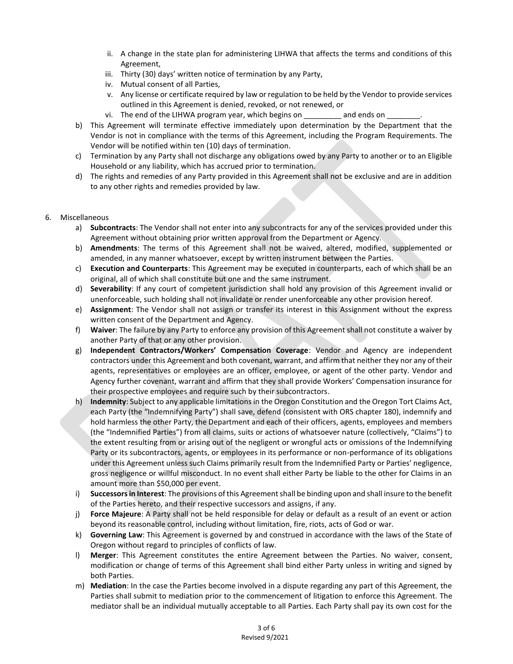- ii. A change in the state plan for administering LIHWA that affects the terms and conditions of this Agreement,
- iii. Thirty (30) days' written notice of termination by any Party,
- iv. Mutual consent of all Parties,
- v. Any license or certificate required by law or regulation to be held by the Vendor to provide services outlined in this Agreement is denied, revoked, or not renewed, or
- vi. The end of the LIHWA program year, which begins on \_\_\_\_\_\_\_\_\_\_\_ and ends on
- b) This Agreement will terminate effective immediately upon determination by the Department that the Vendor is not in compliance with the terms of this Agreement, including the Program Requirements. The Vendor will be notified within ten (10) days of termination.
- c) Termination by any Party shall not discharge any obligations owed by any Party to another or to an Eligible Household or any liability, which has accrued prior to termination.
- d) The rights and remedies of any Party provided in this Agreement shall not be exclusive and are in addition to any other rights and remedies provided by law.

## 6. Miscellaneous

- a) **Subcontracts**: The Vendor shall not enter into any subcontracts for any of the services provided under this Agreement without obtaining prior written approval from the Department or Agency.
- b) **Amendments**: The terms of this Agreement shall not be waived, altered, modified, supplemented or amended, in any manner whatsoever, except by written instrument between the Parties.
- c) **Execution and Counterparts**: This Agreement may be executed in counterparts, each of which shall be an original, all of which shall constitute but one and the same instrument.
- d) **Severability**: If any court of competent jurisdiction shall hold any provision of this Agreement invalid or unenforceable, such holding shall not invalidate or render unenforceable any other provision hereof.
- e) **Assignment**: The Vendor shall not assign or transfer its interest in this Assignment without the express written consent of the Department and Agency.
- f) **Waiver**: The failure by any Party to enforce any provision of this Agreement shall not constitute a waiver by another Party of that or any other provision.
- g) **Independent Contractors/Workers' Compensation Coverage**: Vendor and Agency are independent contractors under this Agreement and both covenant, warrant, and affirm that neither they nor any of their agents, representatives or employees are an officer, employee, or agent of the other party. Vendor and Agency further covenant, warrant and affirm that they shall provide Workers' Compensation insurance for their prospective employees and require such by their subcontractors.
- h) **Indemnity**: Subject to any applicable limitations in the Oregon Constitution and the Oregon Tort Claims Act, each Party (the "Indemnifying Party") shall save, defend (consistent with ORS chapter 180), indemnify and hold harmless the other Party, the Department and each of their officers, agents, employees and members (the "Indemnified Parties") from all claims, suits or actions of whatsoever nature (collectively, "Claims") to the extent resulting from or arising out of the negligent or wrongful acts or omissions of the Indemnifying Party or its subcontractors, agents, or employees in its performance or non-performance of its obligations under this Agreement unless such Claims primarily result from the Indemnified Party or Parties' negligence, gross negligence or willful misconduct. In no event shall either Party be liable to the other for Claims in an amount more than \$50,000 per event.
- i) **Successors in Interest**: The provisions of this Agreement shall be binding upon and shall insure to the benefit of the Parties hereto, and their respective successors and assigns, if any.
- j) **Force Majeure**: A Party shall not be held responsible for delay or default as a result of an event or action beyond its reasonable control, including without limitation, fire, riots, acts of God or war.
- k) **Governing Law**: This Agreement is governed by and construed in accordance with the laws of the State of Oregon without regard to principles of conflicts of law.
- l) **Merger**: This Agreement constitutes the entire Agreement between the Parties. No waiver, consent, modification or change of terms of this Agreement shall bind either Party unless in writing and signed by both Parties.
- m) **Mediation**: In the case the Parties become involved in a dispute regarding any part of this Agreement, the Parties shall submit to mediation prior to the commencement of litigation to enforce this Agreement. The mediator shall be an individual mutually acceptable to all Parties. Each Party shall pay its own cost for the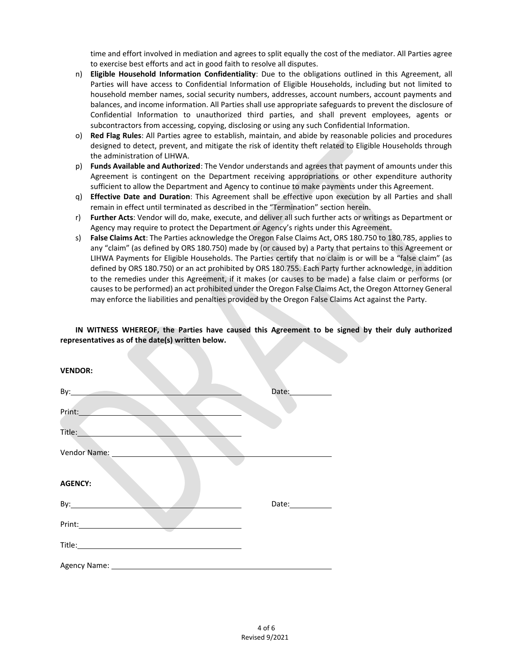time and effort involved in mediation and agrees to split equally the cost of the mediator. All Parties agree to exercise best efforts and act in good faith to resolve all disputes.

- n) **Eligible Household Information Confidentiality**: Due to the obligations outlined in this Agreement, all Parties will have access to Confidential Information of Eligible Households, including but not limited to household member names, social security numbers, addresses, account numbers, account payments and balances, and income information. All Parties shall use appropriate safeguards to prevent the disclosure of Confidential Information to unauthorized third parties, and shall prevent employees, agents or subcontractors from accessing, copying, disclosing or using any such Confidential Information.
- o) **Red Flag Rules**: All Parties agree to establish, maintain, and abide by reasonable policies and procedures designed to detect, prevent, and mitigate the risk of identity theft related to Eligible Households through the administration of LIHWA.
- p) **Funds Available and Authorized**: The Vendor understands and agrees that payment of amounts under this Agreement is contingent on the Department receiving appropriations or other expenditure authority sufficient to allow the Department and Agency to continue to make payments under this Agreement.
- q) **Effective Date and Duration**: This Agreement shall be effective upon execution by all Parties and shall remain in effect until terminated as described in the "Termination" section herein.
- r) **Further Acts**: Vendor will do, make, execute, and deliver all such further acts or writings as Department or Agency may require to protect the Department or Agency's rights under this Agreement.
- s) **False Claims Act**: The Parties acknowledge the Oregon False Claims Act, ORS 180.750 to 180.785, applies to any "claim" (as defined by ORS 180.750) made by (or caused by) a Party that pertains to this Agreement or LIHWA Payments for Eligible Households. The Parties certify that no claim is or will be a "false claim" (as defined by ORS 180.750) or an act prohibited by ORS 180.755. Each Party further acknowledge, in addition to the remedies under this Agreement, if it makes (or causes to be made) a false claim or performs (or causes to be performed) an act prohibited under the Oregon False Claims Act, the Oregon Attorney General may enforce the liabilities and penalties provided by the Oregon False Claims Act against the Party.

**IN WITNESS WHEREOF, the Parties have caused this Agreement to be signed by their duly authorized representatives as of the date(s) written below.**

| <b>VENDOR:</b>                                                                                                                                                                                                                       |                  |
|--------------------------------------------------------------------------------------------------------------------------------------------------------------------------------------------------------------------------------------|------------------|
| By: $\qquad \qquad$                                                                                                                                                                                                                  | Date:            |
| Print:                                                                                                                                                                                                                               |                  |
| Title: <b>William Street Street Street Street Street Street Street Street Street Street Street Street Street Street Street Street Street Street Street Street Street Street Street Street Street Street Street Street Street Str</b> |                  |
| Vendor Name: ___________                                                                                                                                                                                                             |                  |
| <b>AGENCY:</b>                                                                                                                                                                                                                       |                  |
|                                                                                                                                                                                                                                      | Date:___________ |
|                                                                                                                                                                                                                                      |                  |
|                                                                                                                                                                                                                                      |                  |
| Agency Name: ___________                                                                                                                                                                                                             |                  |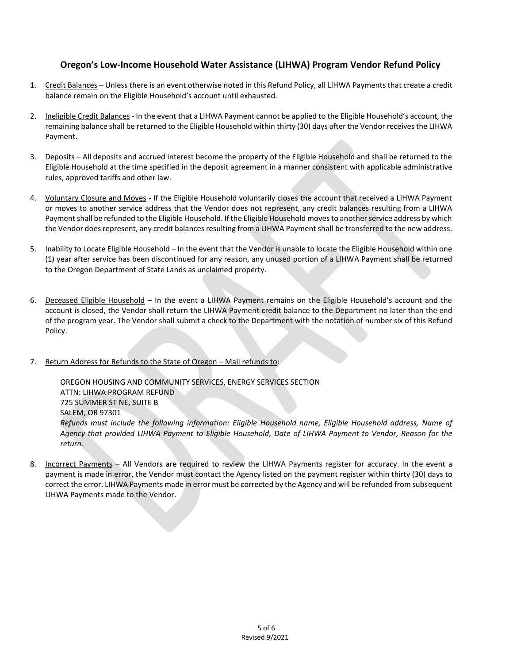## **Oregon's Low-Income Household Water Assistance (LIHWA) Program Vendor Refund Policy**

- 1. Credit Balances Unless there is an event otherwise noted in this Refund Policy, all LIHWA Payments that create a credit balance remain on the Eligible Household's account until exhausted.
- 2. Ineligible Credit Balances In the event that a LIHWA Payment cannot be applied to the Eligible Household's account, the remaining balance shall be returned to the Eligible Household within thirty (30) days after the Vendor receives the LIHWA Payment.
- 3. Deposits All deposits and accrued interest become the property of the Eligible Household and shall be returned to the Eligible Household at the time specified in the deposit agreement in a manner consistent with applicable administrative rules, approved tariffs and other law.
- 4. Voluntary Closure and Moves If the Eligible Household voluntarily closes the account that received a LIHWA Payment or moves to another service address that the Vendor does not represent, any credit balances resulting from a LIHWA Payment shall be refunded to the Eligible Household. If the Eligible Household moves to another service address by which the Vendor does represent, any credit balances resulting from a LIHWA Payment shall be transferred to the new address.
- 5. Inability to Locate Eligible Household In the event that the Vendor is unable to locate the Eligible Household within one (1) year after service has been discontinued for any reason, any unused portion of a LIHWA Payment shall be returned to the Oregon Department of State Lands as unclaimed property.
- 6. Deceased Eligible Household In the event a LIHWA Payment remains on the Eligible Household's account and the account is closed, the Vendor shall return the LIHWA Payment credit balance to the Department no later than the end of the program year. The Vendor shall submit a check to the Department with the notation of number six of this Refund Policy.
- 7. Return Address for Refunds to the State of Oregon Mail refunds to:

OREGON HOUSING AND COMMUNITY SERVICES, ENERGY SERVICES SECTION ATTN: LIHWA PROGRAM REFUND 725 SUMMER ST NE, SUITE B SALEM, OR 97301 *Refunds must include the following information: Eligible Household name, Eligible Household address, Name of Agency that provided LIHWA Payment to Eligible Household, Date of LIHWA Payment to Vendor, Reason for the return.*

8. Incorrect Payments – All Vendors are required to review the LIHWA Payments register for accuracy. In the event a payment is made in error, the Vendor must contact the Agency listed on the payment register within thirty (30) days to correct the error. LIHWA Payments made in error must be corrected by the Agency and will be refunded from subsequent LIHWA Payments made to the Vendor.